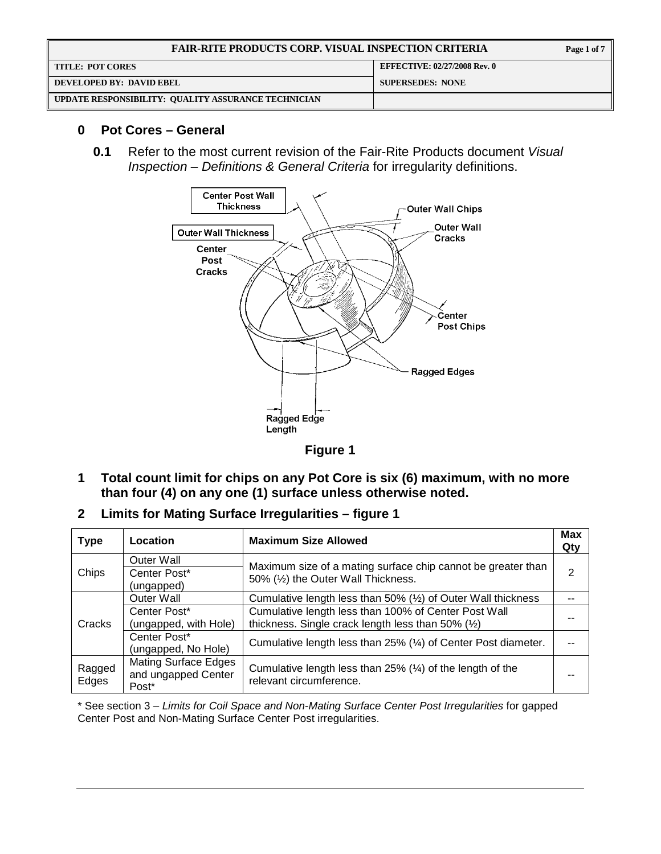| <b>FAIR-RITE PRODUCTS CORP. VISUAL INSPECTION CRITERIA</b> |                                     |
|------------------------------------------------------------|-------------------------------------|
| <b>TITLE: POT CORES</b>                                    | <b>EFFECTIVE: 02/27/2008 Rev. 0</b> |
| <b>OEVELOPED BY: DAVID EBEL</b>                            | <b>SUPERSEDES: NONE</b>             |
| UPDATE RESPONSIBILITY: QUALITY ASSURANCE TECHNICIAN        |                                     |

## **0 Pot Cores – General**

**0.1** Refer to the most current revision of the Fair-Rite Products document Visual Inspection – Definitions & General Criteria for irregularity definitions.



**Figure 1** 

- **1 Total count limit for chips on any Pot Core is six (6) maximum, with no more than four (4) on any one (1) surface unless otherwise noted.**
- **2 Limits for Mating Surface Irregularities figure 1**

| <b>Type</b>     | Location                                                                                                                                        | <b>Maximum Size Allowed</b>                                                                                          |   |
|-----------------|-------------------------------------------------------------------------------------------------------------------------------------------------|----------------------------------------------------------------------------------------------------------------------|---|
| Chips           | Outer Wall<br>Maximum size of a mating surface chip cannot be greater than<br>Center Post*<br>50% (1/2) the Outer Wall Thickness.<br>(ungapped) |                                                                                                                      | 2 |
|                 | Outer Wall                                                                                                                                      | Cumulative length less than 50% $(½)$ of Outer Wall thickness                                                        |   |
| Cracks          | Center Post*<br>(ungapped, with Hole)                                                                                                           | Cumulative length less than 100% of Center Post Wall<br>thickness. Single crack length less than 50% $(\frac{1}{2})$ |   |
|                 | Center Post*<br>(ungapped, No Hole)                                                                                                             | Cumulative length less than 25% (14) of Center Post diameter.                                                        |   |
| Ragged<br>Edges | <b>Mating Surface Edges</b><br>and ungapped Center<br>Post*                                                                                     | Cumulative length less than 25% $(\frac{1}{4})$ of the length of the<br>relevant circumference.                      |   |

\* See section 3 – Limits for Coil Space and Non-Mating Surface Center Post Irregularities for gapped Center Post and Non-Mating Surface Center Post irregularities.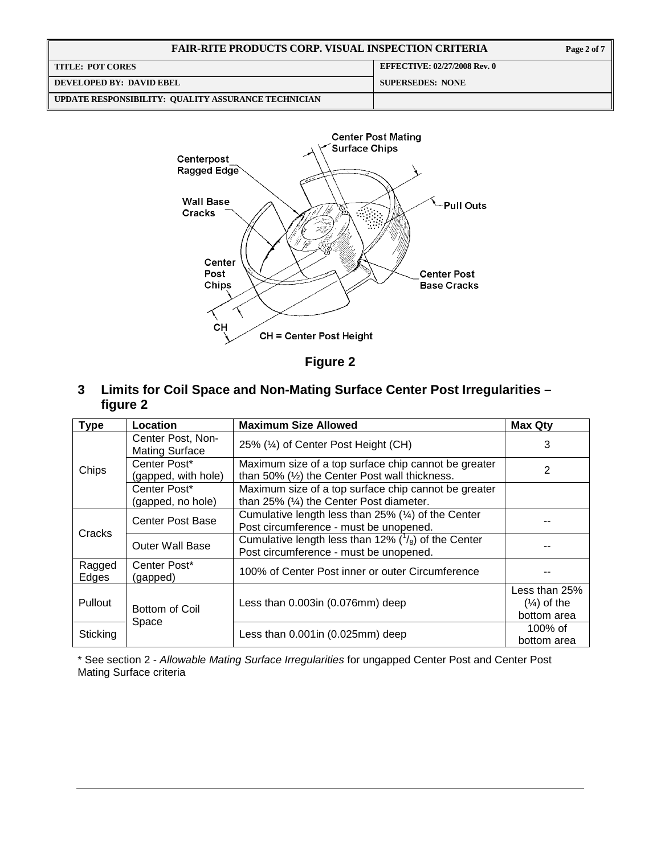| <b>FAIR-RITE PRODUCTS CORP. VISUAL INSPECTION CRITERIA</b> |                                     |  |
|------------------------------------------------------------|-------------------------------------|--|
| <b>TITLE: POT CORES</b>                                    | <b>EFFECTIVE: 02/27/2008 Rev. 0</b> |  |
| DEVELOPED BY: DAVID EBEL                                   | <b>SUPERSEDES: NONE</b>             |  |
| UPDATE RESPONSIBILITY: QUALITY ASSURANCE TECHNICIAN        |                                     |  |



**Figure 2** 

**3 Limits for Coil Space and Non-Mating Surface Center Post Irregularities – figure 2** 

| Type                             | Location                                   | <b>Maximum Size Allowed</b>                                                                                     | <b>Max Qty</b>                                         |
|----------------------------------|--------------------------------------------|-----------------------------------------------------------------------------------------------------------------|--------------------------------------------------------|
|                                  | Center Post, Non-<br><b>Mating Surface</b> | 25% (1/4) of Center Post Height (CH)                                                                            | 3                                                      |
| Chips                            | Center Post*<br>(gapped, with hole)        | Maximum size of a top surface chip cannot be greater<br>than 50% $(½)$ the Center Post wall thickness.          | 2                                                      |
|                                  | Center Post*<br>(gapped, no hole)          | Maximum size of a top surface chip cannot be greater<br>than $25\%$ ( $\frac{1}{4}$ ) the Center Post diameter. |                                                        |
|                                  | Center Post Base                           | Cumulative length less than 25% $(\frac{1}{4})$ of the Center<br>Post circumference - must be unopened.         |                                                        |
| Cracks                           | <b>Outer Wall Base</b>                     | Cumulative length less than 12% $\binom{1}{8}$ of the Center<br>Post circumference - must be unopened.          |                                                        |
| Ragged<br>Edges                  | Center Post*<br>(gapped)                   | 100% of Center Post inner or outer Circumference                                                                |                                                        |
| <b>Pullout</b><br>Bottom of Coil |                                            | Less than 0.003in (0.076mm) deep                                                                                | Less than 25%<br>$(\frac{1}{4})$ of the<br>bottom area |
| Sticking                         | Space                                      | Less than $0.001$ in $(0.025$ mm $)$ deep                                                                       | 100% of<br>bottom area                                 |

\* See section 2 - Allowable Mating Surface Irregularities for ungapped Center Post and Center Post Mating Surface criteria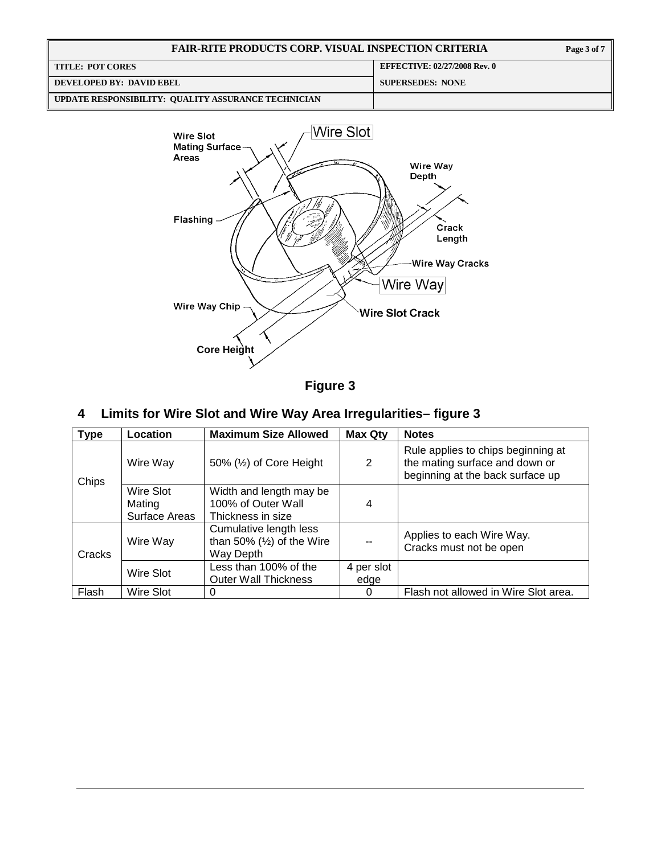| <b>FAIR-RITE PRODUCTS CORP. VISUAL INSPECTION CRITERIA</b> |                                     | Page 3 of 7 |
|------------------------------------------------------------|-------------------------------------|-------------|
| <b>TITLE: POT CORES</b>                                    | <b>EFFECTIVE: 02/27/2008 Rev. 0</b> |             |
| DEVELOPED BY: DAVID EBEL                                   | <b>SUPERSEDES: NONE</b>             |             |
| UPDATE RESPONSIBILITY: QUALITY ASSURANCE TECHNICIAN        |                                     |             |



**Figure 3** 

# **4 Limits for Wire Slot and Wire Way Area Irregularities– figure 3**

| <b>Type</b> | Location            | <b>Maximum Size Allowed</b>                                       | <b>Max Qty</b> | <b>Notes</b>                                                                                             |
|-------------|---------------------|-------------------------------------------------------------------|----------------|----------------------------------------------------------------------------------------------------------|
| Chips       | Wire Way            | 50% $(\frac{1}{2})$ of Core Height                                | 2              | Rule applies to chips beginning at<br>the mating surface and down or<br>beginning at the back surface up |
|             | Wire Slot<br>Mating | Width and length may be<br>100% of Outer Wall                     | $\overline{4}$ |                                                                                                          |
|             | Surface Areas       | Thickness in size                                                 |                |                                                                                                          |
| Cracks      | Wire Way            | Cumulative length less<br>than 50% $(½)$ of the Wire<br>Way Depth |                | Applies to each Wire Way.<br>Cracks must not be open                                                     |
|             |                     | Less than 100% of the                                             | 4 per slot     |                                                                                                          |
|             | Wire Slot           | <b>Outer Wall Thickness</b>                                       | edge           |                                                                                                          |
| Flash       | Wire Slot           | 0                                                                 | 0              | Flash not allowed in Wire Slot area.                                                                     |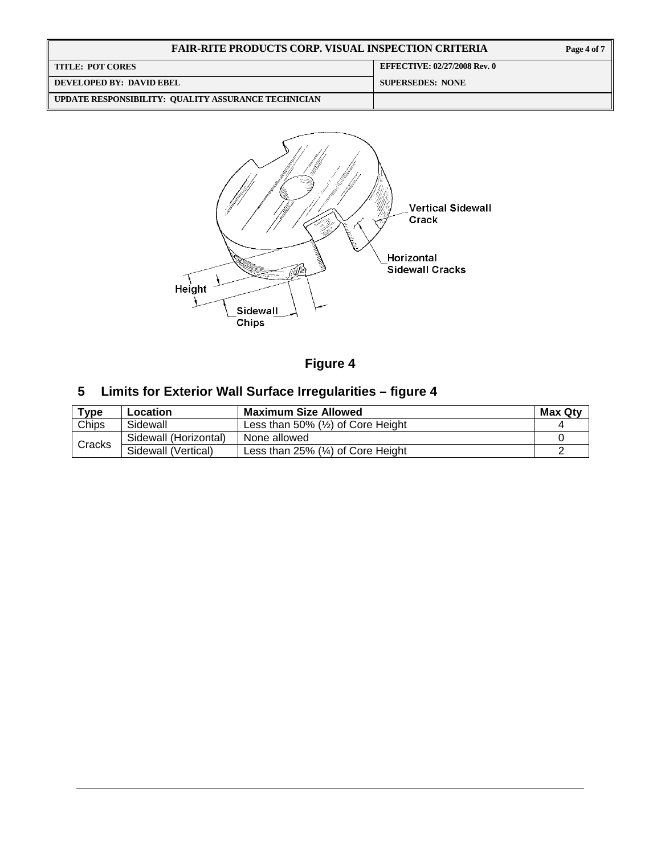| <b>FAIR-RITE PRODUCTS CORP. VISUAL INSPECTION CRITERIA</b> | Page 4 of 7                         |  |
|------------------------------------------------------------|-------------------------------------|--|
| <b>TITLE: POT CORES</b>                                    | <b>EFFECTIVE: 02/27/2008 Rev. 0</b> |  |
| DEVELOPED BY: DAVID EBEL                                   | <b>SUPERSEDES: NONE</b>             |  |
| UPDATE RESPONSIBILITY: QUALITY ASSURANCE TECHNICIAN        |                                     |  |



**Figure 4** 

# **5 Limits for Exterior Wall Surface Irregularities – figure 4**

| Type   | Location              | <b>Maximum Size Allowed</b>                     | <b>Max Qty</b> |
|--------|-----------------------|-------------------------------------------------|----------------|
| Chips  | Sidewall              | Less than 50% $(\frac{1}{2})$ of Core Height    |                |
| Cracks | Sidewall (Horizontal) | None allowed                                    |                |
|        | Sidewall (Vertical)   | Less than $25\%$ $(\frac{1}{4})$ of Core Height |                |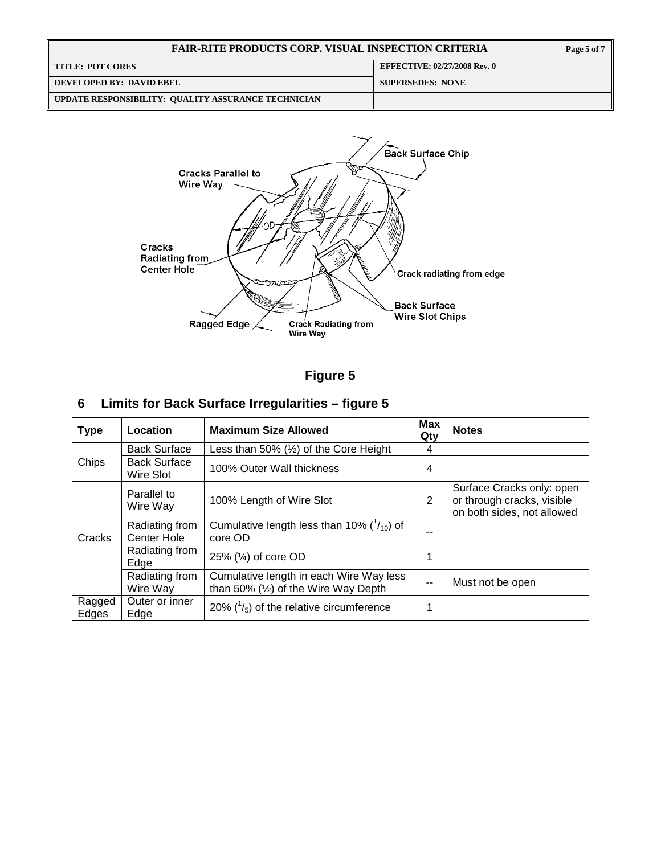| <b>FAIR-RITE PRODUCTS CORP. VISUAL INSPECTION CRITERIA</b> | Page 5 of 7                         |
|------------------------------------------------------------|-------------------------------------|
| <b>TITLE: POT CORES</b>                                    | <b>EFFECTIVE: 02/27/2008 Rev. 0</b> |
| DEVELOPED BY: DAVID EBEL                                   | <b>SUPERSEDES: NONE</b>             |
| UPDATE RESPONSIBILITY: QUALITY ASSURANCE TECHNICIAN        |                                     |



**Figure 5** 

# **6 Limits for Back Surface Irregularities – figure 5**

| <b>Type</b>     | Location                         | <b>Maximum Size Allowed</b>                                                     | Max<br>Qty    | <b>Notes</b>                                                                          |
|-----------------|----------------------------------|---------------------------------------------------------------------------------|---------------|---------------------------------------------------------------------------------------|
|                 | <b>Back Surface</b>              | Less than 50% $(½)$ of the Core Height                                          | 4             |                                                                                       |
| Chips           | <b>Back Surface</b><br>Wire Slot | 100% Outer Wall thickness                                                       | 4             |                                                                                       |
|                 | Parallel to<br>Wire Way          | 100% Length of Wire Slot                                                        | 2             | Surface Cracks only: open<br>or through cracks, visible<br>on both sides, not allowed |
| Cracks          | Radiating from<br>Center Hole    | Cumulative length less than 10% $(^{1}/_{10})$ of<br>core OD                    |               |                                                                                       |
|                 | Radiating from<br>Edge           | 25% $(\frac{1}{4})$ of core OD                                                  | 1             |                                                                                       |
|                 | Radiating from<br>Wire Way       | Cumulative length in each Wire Way less<br>than 50% $(½)$ of the Wire Way Depth | $\frac{1}{2}$ | Must not be open                                                                      |
| Ragged<br>Edges | Outer or inner<br>Edge           | 20% $\binom{1}{5}$ of the relative circumference                                | 1             |                                                                                       |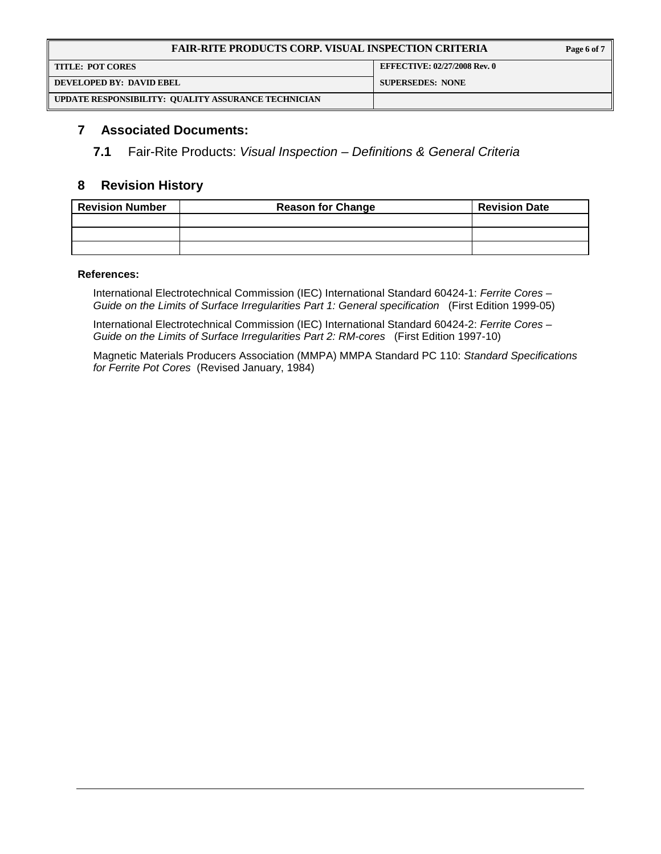| <b>FAIR-RITE PRODUCTS CORP. VISUAL INSPECTION CRITERIA</b> | Page 6 of 7                         |  |
|------------------------------------------------------------|-------------------------------------|--|
| <b>TITLE: POT CORES</b>                                    | <b>EFFECTIVE: 02/27/2008 Rev. 0</b> |  |
| DEVELOPED BY: DAVID EBEL                                   | <b>SUPERSEDES: NONE</b>             |  |
| UPDATE RESPONSIBILITY: QUALITY ASSURANCE TECHNICIAN        |                                     |  |

### **7 Associated Documents:**

**7.1** Fair-Rite Products: Visual Inspection – Definitions & General Criteria

## **8 Revision History**

| <b>Revision Number</b> | <b>Reason for Change</b> | <b>Revision Date</b> |
|------------------------|--------------------------|----------------------|
|                        |                          |                      |
|                        |                          |                      |
|                        |                          |                      |

#### **References:**

International Electrotechnical Commission (IEC) International Standard 60424-1: Ferrite Cores – Guide on the Limits of Surface Irregularities Part 1: General specification (First Edition 1999-05)

International Electrotechnical Commission (IEC) International Standard 60424-2: Ferrite Cores – Guide on the Limits of Surface Irregularities Part 2: RM-cores (First Edition 1997-10)

Magnetic Materials Producers Association (MMPA) MMPA Standard PC 110: Standard Specifications for Ferrite Pot Cores (Revised January, 1984)